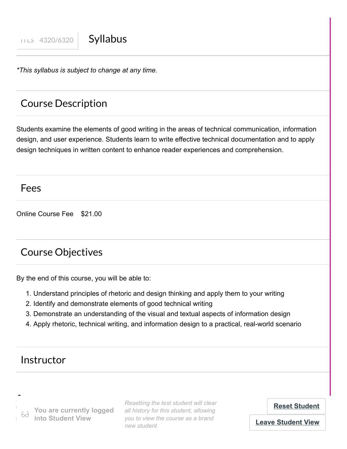*\*This syllabus is subject to change at any time.*

## Course Description

Students examine the elements of good writing in the areas of technical communication, information design, and user experience. Students learn to write effective technical documentation and to apply design techniques in written content to enhance reader experiences and comprehension.

## Fees

Online Course Fee \$21.00

## Course Objectives

By the end of this course, you will be able to:

- 1. Understand principles of rhetoric and design thinking and apply them to your writing
- 2. Identify and demonstrate elements of good technical writing
- 3. Demonstrate an understanding of the visual and textual aspects of information design
- 4. Apply rhetoric, technical writing, and information design to a practical, real-world scenario

## Instructor

 **Dan Caudel, MA**

**Teacher You are currently logged daniel.cau are currently logged** and instance on this student, allowing<br>*you to view the course as a brand* **into Student View**

*Resetting the test student will clear all history for this student, allowing new student.*

**[Reset Student](https://usu.instructure.com/courses/703085/test_student)**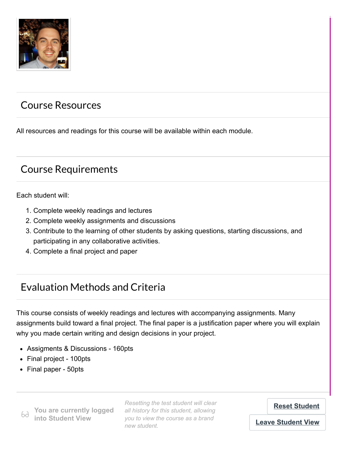

## Course Resources

All resources and readings for this course will be available within each module.

## Course Requirements

Each student will:

- 1. Complete weekly readings and lectures
- 2. Complete weekly assignments and discussions
- 3. Contribute to the learning of other students by asking questions, starting discussions, and participating in any collaborative activities.
- 4. Complete a final project and paper

## Evaluation Methods and Criteria

This course consists of weekly readings and lectures with accompanying assignments. Many assignments build toward a final project. The final paper is a justification paper where you will explain why you made certain writing and design decisions in your project.

- Assigments & Discussions 160pts
- Final project 100pts
- Final paper 50pts

Grade Scheme **You are currently logged**  $6d$ **into Student View**

*Resetting the test student will clear all history for this student, allowing you to view the course as a brand new student.*

**[Reset Student](https://usu.instructure.com/courses/703085/test_student)**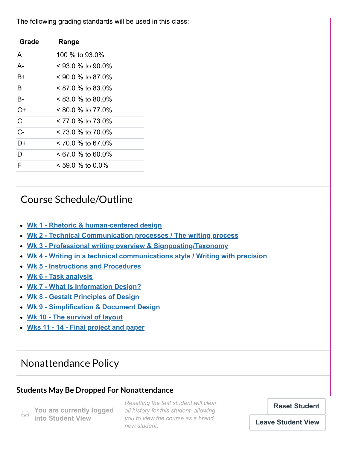The following grading standards will be used in this class:

| Grade | Range                  |
|-------|------------------------|
| A     | 100 % to 93.0%         |
| $A -$ | $<$ 93 0 % to 90 0%    |
| B+    | $<$ 90 0 % to 87 0%    |
| B     | $< 87.0$ % to 83.0%    |
| B-    | $< 83.0$ % to 80.0%    |
| $C+$  | $< 80.0$ % to 77 $0\%$ |
| C     | < 77.0 % to 73.0%      |
| $C -$ | $< 73.0 \%$ to 70.0%   |
| D+    | $< 70.0 \%$ to 67.0%   |
| D     | $< 67.0$ % to 60.0%    |
| F     | $< 59.0$ % to 0.0%     |

## Course Schedule/Outline

- **[Wk 1 Rhetoric & human-centered design](https://usu.instructure.com/courses/703085/modules/837412)**
- **[Wk 2 Technical Communication processes / The writing process](https://usu.instructure.com/courses/703085/modules/837413)**
- **[Wk 3 Professional writing overview & Signposting/Taxonomy](https://usu.instructure.com/courses/703085/modules/837414)**
- **[Wk 4 Writing in a technical communications style / Writing with precision](https://usu.instructure.com/courses/703085/modules/837415)**
- **[Wk 5 Instructions and Procedures](https://usu.instructure.com/courses/703085/modules/837416)**
- **[Wk 6 Task analysis](https://usu.instructure.com/courses/703085/modules/837417)**
- **[Wk 7 What is Information Design?](https://usu.instructure.com/courses/703085/modules/837418)**
- **[Wk 8 Gestalt Principles of Design](https://usu.instructure.com/courses/703085/modules/837419)**
- **[Wk 9 Simplification & Document Design](https://usu.instructure.com/courses/703085/modules/837420)**
- **[Wk 10 The survival of layout](https://usu.instructure.com/courses/703085/modules/837421)**
- **Wks 11 - [14 Final project and paper](https://usu.instructure.com/courses/703085/modules/837453)**

## Nonattendance Policy

### **Students May Be Dropped For Nonattendance**

69 **You are currently logged into Student View**

**If a student does not attend a class during the test student will clear Reset Student Reset Student will clear** bd **into Student View** you to view the course as a brand course. The student to do not remove *remove remove responsibility from the student view all history for this student, allowing new student.*

**Reset Student**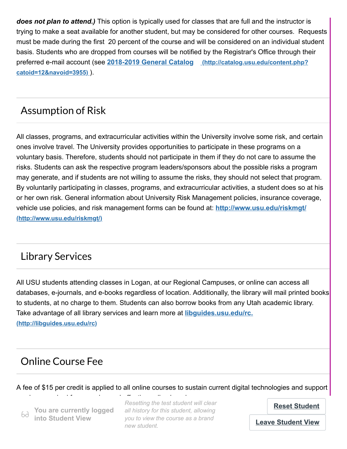*does not plan to attend.)* This option is typically used for classes that are full and the instructor is trying to make a seat available for another student, but may be considered for other courses. Requests must be made during the first 20 percent of the course and will be considered on an individual student basis. Students who are dropped from courses will be notified by the Registrar's Office through their preferred e-mail account (see **2018-2019 General Catalog [\(http://catalog.usu.edu/content.php?](http://catalog.usu.edu/content.php?catoid=12&navoid=3955) catoid=12&navoid=3955)** ).

## Assumption of Risk

All classes, programs, and extracurricular activities within the University involve some risk, and certain ones involve travel. The University provides opportunities to participate in these programs on a voluntary basis. Therefore, students should not participate in them if they do not care to assume the risks. Students can ask the respective program leaders/sponsors about the possible risks a program may generate, and if students are not willing to assume the risks, they should not select that program. By voluntarily participating in classes, programs, and extracurricular activities, a student does so at his or her own risk. General information about University Risk Management policies, insurance coverage, [vehicle use policies, and risk management forms can be found at:](http://www.usu.edu/riskmgt/) **http://www.usu.edu/riskmgt/ (http://www.usu.edu/riskmgt/)**

## Library Services

All USU students attending classes in Logan, at our Regional Campuses, or online can access all databases, e-journals, and e-books regardless of location. Additionally, the library will mail printed books to students, at no charge to them. Students can also borrow books from any Utah academic library. [Take advantage of all library services and learn more at](http://libguides.usu.edu/rc) **libguides.usu.edu/rc. (http://libguides.usu.edu/rc)**

## Online Course Fee

A fee of \$15 per credit is applied to all online courses to sustain current digital technologies and support

69 **You are currently logged into Student View**

services required for engaging and effective online learning. *Resetting the test student will clear all history for this student, allowing you to view the course as a brand new student.*

**[Reset Student](https://usu.instructure.com/courses/703085/test_student)**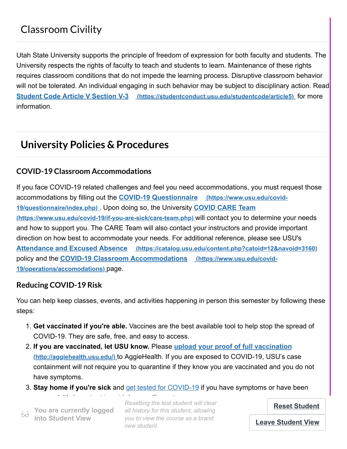Utah State University supports the principle of freedom of expression for both faculty and students. The University respects the rights of faculty to teach and students to learn. Maintenance of these rights requires classroom conditions that do not impede the learning process. Disruptive classroom behavior will not be tolerated. An individual engaging in such behavior may be subject to disciplinary action. Read **Student Code Article V Section V-3 [\(https://studentconduct.usu.edu/studentcode/article5\)](https://studentconduct.usu.edu/studentcode/article5)** for more information.

## **University Policies & Procedures**

#### **COVID-19 Classroom Accommodations**

If you face COVID-19 related challenges and feel you need accommodations, you must request those [accommodations by filling out the](https://www.usu.edu/covid-19/questionnaire/index.php) **COVID-19 Questionnaire (https://www.usu.edu/covid-19/questionnaire/index.php)** . Upon doing so, the University **COVID CARE Team [\(https://www.usu.edu/covid-19/if-you-are-sick/care-team.php\)](https://www.usu.edu/covid-19/if-you-are-sick/care-team.php)** will contact you to determine your needs and how to support you. The CARE Team will also contact your instructors and provide important direction on how best to accommodate your needs. For additional reference, please see USU's **Attendance and Excused Absence [\(https://catalog.usu.edu/content.php?catoid=12&navoid=3160\)](https://catalog.usu.edu/content.php?catoid=12&navoid=3160)** policy and the **[COVID-19 Classroom Accommodations](https://www.usu.edu/covid-19/operations/accomodations) (https://www.usu.edu/covid-19/operations/accomodations)** page.

#### **Reducing COVID-19 Risk**

You can help keep classes, events, and activities happening in person this semester by following these steps:

- 1. **Get vaccinated if you're able.** Vaccines are the best available tool to help stop the spread of COVID-19. They are safe, free, and easy to access.
- 2. **If you are vaccinated, let USU know.** Please **upload your proof of full vaccination (http://aggiehealth.usu.edu/)** [to AggieHealth. If you are exposed to COVID-19, USU's case](http://aggiehealth.usu.edu/) containment will not require you to quarantine if they know you are vaccinated and you do not have symptoms.
- 3. **Stay home if you're sick** and get tested for COVID-19 if you have symptoms or have been

69. **into Student View**

exposed. It's important to not bring any interess to not bring any illness to campus. It's important to campus<br>In the campus of the campus of the campus of the campus of the campus of the campus of the campus of the campu **Public state in the commendity logged** all history for this student, allowing **and the second vaccinate wear Reset Stud** into Student View you to view the course as a brand *Resetting the test student will clear new student.*

**[Reset Student](https://usu.instructure.com/courses/703085/test_student)**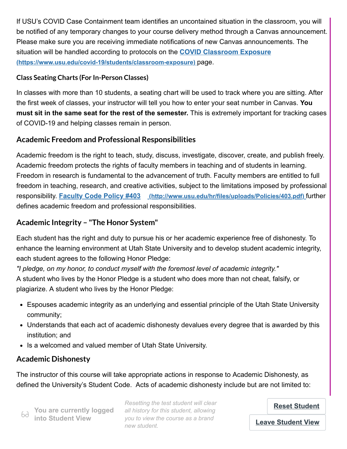If USU's COVID Case Containment team identifies an uncontained situation in the classroom, you will be notified of any temporary changes to your course delivery method through a Canvas announcement. Please make sure you are receiving immediate notifications of new Canvas announcements. The [situation will be handled according to protocols on the](https://www.usu.edu/covid-19/students/classroom-exposure) **COVID Classroom Exposure (https://www.usu.edu/covid-19/students/classroom-exposure)** page.

#### **Class Seating Charts (For In-Person Classes)**

In classes with more than 10 students, a seating chart will be used to track where you are sitting. After the first week of classes, your instructor will tell you how to enter your seat number in Canvas. **You must sit in the same seat for the rest of the semester.** This is extremely important for tracking cases of COVID-19 and helping classes remain in person.

### **Academic Freedom and Professional Responsibilities**

Academic freedom is the right to teach, study, discuss, investigate, discover, create, and publish freely. Academic freedom protects the rights of faculty members in teaching and of students in learning. Freedom in research is fundamental to the advancement of truth. Faculty members are entitled to full freedom in teaching, research, and creative activities, subject to the limitations imposed by professional responsibility. **Faculty Code Policy #403 [\(http://www.usu.edu/hr/files/uploads/Policies/403.pdf\)](http://www.usu.edu/hr/files/uploads/Policies/403.pdf)** further defines academic freedom and professional responsibilities.

### **Academic Integrity – "The Honor System"**

Each student has the right and duty to pursue his or her academic experience free of dishonesty. To enhance the learning environment at Utah State University and to develop student academic integrity, each student agrees to the following Honor Pledge:

*"I pledge, on my honor, to conduct myself with the foremost level of academic integrity."*  A student who lives by the Honor Pledge is a student who does more than not cheat, falsify, or plagiarize. A student who lives by the Honor Pledge:

- Espouses academic integrity as an underlying and essential principle of the Utah State University community;
- Understands that each act of academic dishonesty devalues every degree that is awarded by this institution; and
- Is a welcomed and valued member of Utah State University.

### **Academic Dishonesty**

The instructor of this course will take appropriate actions in response to Academic Dishonesty, as defined the University's Student Code. Acts of academic dishonesty include but are not limited to:

**Changing** the test student will clear<br> **Poset Student** all **You are currently logged** all history for this student, allowing and any **activity.** *you to view the course as a brand new student.*

**Reset Student**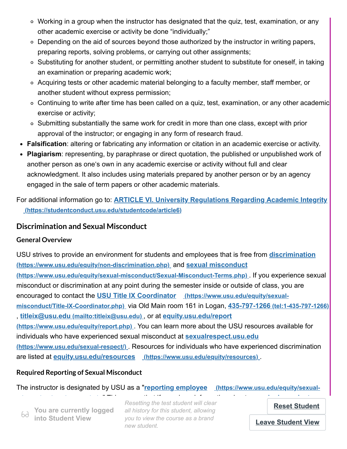- Working in a group when the instructor has designated that the quiz, test, examination, or any other academic exercise or activity be done "individually;"
- $\circ$  Depending on the aid of sources beyond those authorized by the instructor in writing papers, preparing reports, solving problems, or carrying out other assignments;
- Substituting for another student, or permitting another student to substitute for oneself, in taking an examination or preparing academic work;
- Acquiring tests or other academic material belonging to a faculty member, staff member, or another student without express permission;
- o Continuing to write after time has been called on a quiz, test, examination, or any other academic exercise or activity;
- $\circ$  Submitting substantially the same work for credit in more than one class, except with prior approval of the instructor; or engaging in any form of research fraud.
- **Falsification**: altering or fabricating any information or citation in an academic exercise or activity.
- **Plagiarism**: representing, by paraphrase or direct quotation, the published or unpublished work of another person as one's own in any academic exercise or activity without full and clear acknowledgment. It also includes using materials prepared by another person or by an agency engaged in the sale of term papers or other academic materials.

For additional information go to: **[ARTICLE VI. University Regulations Regarding Academic Integrity](https://studentconduct.usu.edu/studentcode/article6) (https://studentconduct.usu.edu/studentcode/article6)**

### **Discrimination and Sexual Misconduct**

#### **General Overview**

[USU strives to provide an environment for students and employees that is free from](https://www.usu.edu/equity/non-discrimination.php) **discrimination (https://www.usu.edu/equity/non-discrimination.php)** and **sexual misconduct [\(https://www.usu.edu/equity/sexual-misconduct/Sexual-Misconduct-Terms.php\)](https://www.usu.edu/equity/sexual-misconduct/Sexual-Misconduct-Terms.php)** . If you experience sexual misconduct or discrimination at any point during the semester inside or outside of class, you are encouraged to contact the **USU Title IX Coordinator (https://www.usu.edu/equity/sexualmisconduct/Title-IX-Coordinator.php)** [via Old Main room 161 in Logan,](https://www.usu.edu/equity/sexual-misconduct/Title-IX-Coordinator.php) **435-797-1266 [\(tel:1-435-797-1266\)](tel:1-435-797-1266)** , **titleix@usu.edu [\(mailto:titleix@usu.edu\)](mailto:titleix@usu.edu)** , or at **equity.usu.edu/report (https://www.usu.edu/equity/report.php)** [. You can learn more about the USU](https://www.usu.edu/equity/report.php) resources available for [individuals who have experienced sexual misconduct at](https://www.usu.edu/sexual-respect/) **sexualrespect.usu.edu (https://www.usu.edu/sexual-respect/)** . Resources for individuals who have experienced discrimination are listed at **equity.usu.edu/resources [\(https://www.usu.edu/equity/resources\)](https://www.usu.edu/equity/resources)** .

#### **Required Reporting of Sexual Misconduct**

The instructor is designated by USU as a "**reporting employee (https://www.usu.edu/equity/sexual-**

**You are currently logged into Student View**

**misconduct/employees.php)** [." This means that if you share information about](https://www.usu.edu/equity/sexual-misconduct/employees.php) **sexual misconduct (i)** You are currently logged all history for this student, allowing **Reset Stude** be sex-particle currently logged an instery for this student, allowing<br>**be into Student View** you to view the course as a brand *Resetting the test student will clear new student.*

**[Reset Student](https://usu.instructure.com/courses/703085/test_student)**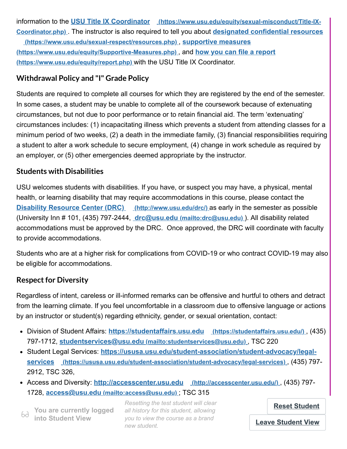information to the **USU Title IX Coordinator** [\(https://www.usu.edu/equity/sexual-misconduct/Title-IX-](https://www.usu.edu/equity/sexual-misconduct/Title-IX-Coordinator.php)**Coordinator.php)** [. The instructor is also required to tell you about](https://www.usu.edu/sexual-respect/resources.php) **designated confidential resources**

**(https://www.usu.edu/sexual-respect/resources.php)** , **supportive measures [\(https://www.usu.edu/equity/Supportive-Measures.php\)](https://www.usu.edu/equity/Supportive-Measures.php)** , and **how you can file a report (https://www.usu.edu/equity/report.php)** with the USU Title IX Coordinator.

### **Withdrawal Policy and "I" Grade Policy**

Students are required to complete all courses for which they are registered by the end of the semester. In some cases, a student may be unable to complete all of the coursework because of extenuating circumstances, but not due to poor performance or to retain financial aid. The term 'extenuating' circumstances includes: (1) incapacitating illness which prevents a student from attending classes for a minimum period of two weeks, (2) a death in the immediate family, (3) financial responsibilities requiring a student to alter a work schedule to secure employment, (4) change in work schedule as required by an employer, or (5) other emergencies deemed appropriate by the instructor.

### **Students with Disabilities**

USU welcomes students with disabilities. If you have, or suspect you may have, a physical, mental health, or learning disability that may require accommodations in this course, please contact the **[Disability Resource Center \(DRC\)](http://www.usu.edu/drc/) (http://www.usu.edu/drc/)** as early in the semester as possible (University Inn # 101, (435) 797‐2444, **drc@usu.edu [\(mailto:drc@usu.edu\)](mailto:drc@usu.edu)** ). All disability related accommodations must be approved by the DRC. Once approved, the DRC will coordinate with faculty to provide accommodations.

Students who are at a higher risk for complications from COVID-19 or who contract COVID-19 may also be eligible for accommodations.

### **Respect for Diversity**

Regardless of intent, careless or ill-informed remarks can be offensive and hurtful to others and detract from the learning climate. If you feel uncomfortable in a classroom due to offensive language or actions by an instructor or student(s) regarding ethnicity, gender, or sexual orientation, contact:

- Division of Student Affairs: **[https://studentaffairs.usu.edu](https://studentaffairs.usu.edu/) (https://studentaffairs.usu.edu/)** , (435) 797-1712, **studentservices@usu.edu [\(mailto:studentservices@usu.edu\)](mailto:studentservices@usu.edu)** , TSC 220
- Student Legal Services: **[https://ususa.usu.edu/student-association/student-advocacy/legal](https://ususa.usu.edu/student-association/student-advocacy/legal-services)services (https://ususa.usu.edu/student-association/student-advocacy/legal-services)** , (435) 797- 2912, TSC 326,
- Access and Diversity: **[http://accesscenter.usu.edu](http://accesscenter.usu.edu/) (http://accesscenter.usu.edu/)** , (435) 797- 1728, **access@usu.edu [\(mailto:access@usu.edu\)](mailto:access@usu.edu)** ; TSC 315

**into Student View**

*Resetting the test student will clear* **(b)** You are currently logged all history for this student, allowing<br>bd into Student View *West all history for this student, allowing you to view the course as a brand new student.*

**[Reset Student](https://usu.instructure.com/courses/703085/test_student)**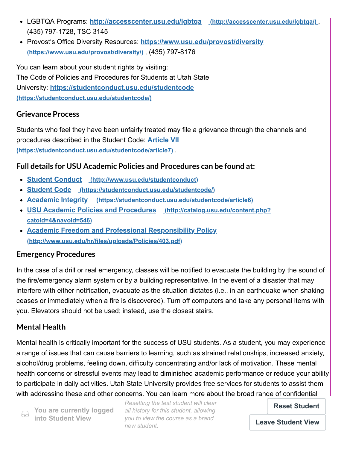- LGBTQA Programs: **[http://accesscenter.usu.edu/lgbtqa](http://accesscenter.usu.edu/lgbtqa/) (http://accesscenter.usu.edu/lgbtqa/)** , (435) 797-1728, TSC 3145
- Provost's Office Diversity Resources: **[https://www.usu.edu/provost/diversity](https://www.usu.edu/provost/diversity/) (https://www.usu.edu/provost/diversity/)** , (435) 797-8176

You can learn about your student rights by visiting: The Code of Policies and Procedures for Students at Utah State University: **[https://studentconduct.usu.edu/studentcode](https://studentconduct.usu.edu/studentcode/) (https://studentconduct.usu.edu/studentcode/)**

#### **Grievance Process**

Students who feel they have been unfairly treated may file a grievance through the channels and procedures described in the Student Code: **Article VII [\(https://studentconduct.usu.edu/studentcode/article7\)](https://studentconduct.usu.edu/studentcode/article7)** .

### **Full details for USU Academic Policies and Procedures can be found at:**

- **Student Conduct [\(http://www.usu.edu/studentconduct\)](http://www.usu.edu/studentconduct)**
- **Student Code [\(https://studentconduct.usu.edu/studentcode/\)](https://studentconduct.usu.edu/studentcode/)**
- **Academic Integrity [\(https://studentconduct.usu.edu/studentcode/article6\)](https://studentconduct.usu.edu/studentcode/article6)**
- **[USU Academic Policies and Procedures](http://catalog.usu.edu/content.php?catoid=4&navoid=546) (http://catalog.usu.edu/content.php? catoid=4&navoid=546)**
- **[Academic Freedom and Professional Responsibility Policy](http://www.usu.edu/hr/files/uploads/Policies/403.pdf) (http://www.usu.edu/hr/files/uploads/Policies/403.pdf)**

#### **Emergency Procedures**

In the case of a drill or real emergency, classes will be notified to evacuate the building by the sound of the fire/emergency alarm system or by a building representative. In the event of a disaster that may interfere with either notification, evacuate as the situation dictates (i.e., in an earthquake when shaking ceases or immediately when a fire is discovered). Turn off computers and take any personal items with you. Elevators should not be used; instead, use the closest stairs.

### **Mental Health**

Mental health is critically important for the success of USU students. As a student, you may experience a range of issues that can cause barriers to learning, such as strained relationships, increased anxiety, alcohol/drug problems, feeling down, difficulty concentrating and/or lack of motivation. These mental health concerns or stressful events may lead to diminished academic performance or reduce your ability to participate in daily activities. Utah State University provides free services for students to assist them with addressing these and other concerns. You can learn more about the broad range of confidential

**Example 2 into Student View You are currently logged**

**Example on cancelling and Counseling and Preset Student will clear Connect Stude** *all history for this student, allowing you to view the course as a brand new student.*

**[Reset Student](https://usu.instructure.com/courses/703085/test_student)**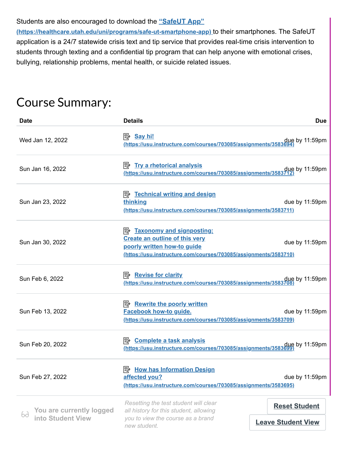#### Students are also encouraged to download the **"SafeUT App"**

**[\(https://healthcare.utah.edu/uni/programs/safe-ut-smartphone-app\)](https://healthcare.utah.edu/uni/programs/safe-ut-smartphone-app)** to their smartphones. The SafeUT application is a 24/7 statewide crisis text and tip service that provides real-time crisis intervention to students through texting and a confidential tip program that can help anyone with emotional crises, bullying, relationship problems, mental health, or suicide related issues.

# Course Summary:

| <b>Date</b>                                         | <b>Details</b>                                                                                                                                                                 | <b>Due</b>                                        |
|-----------------------------------------------------|--------------------------------------------------------------------------------------------------------------------------------------------------------------------------------|---------------------------------------------------|
| Wed Jan 12, 2022                                    | <mark>Say hi!</mark><br>due by 11:59pm (https://usu.instructure.com/courses/703085/assignments/3583694)                                                                        |                                                   |
| Sun Jan 16, 2022                                    | <b>B</b> Try a rhetorical analysis<br>https://usu.instructure.com/courses/703085/assignments/3583712                                                                           | due by 11:59pm                                    |
| Sun Jan 23, 2022                                    | <b>B</b> Technical writing and design<br>thinking<br>(https://usu.instructure.com/courses/703085/assignments/3583711)                                                          | due by 11:59pm                                    |
| Sun Jan 30, 2022                                    | <b>E</b> Taxonomy and signposting:<br><b>Create an outline of this very</b><br>poorly written how-to guide<br>(https://usu.instructure.com/courses/703085/assignments/3583710) | due by 11:59pm                                    |
| Sun Feb 6, 2022                                     | <b>E</b> <sup><i>k</i></sup> Revise for clarity<br>due by 11:59pm (https://usu.instructure.com/courses/703085/assignments/3583708)                                             |                                                   |
| Sun Feb 13, 2022                                    | P <sup>2</sup> Rewrite the poorly written<br><b>Facebook how-to guide.</b><br>(https://usu.instructure.com/courses/703085/assignments/3583709)                                 | due by 11:59pm                                    |
| Sun Feb 20, 2022                                    | P <sup>2</sup> Complete a task analysis<br>due by 11:59pm<br>https://usu.instructure.com/courses/703085/assignments/3583699)                                                   |                                                   |
| Sun Feb 27, 2022                                    | <b>E</b> How has Information Design<br>affected you?<br>(https://usu.instructure.com/courses/703085/assignments/3583695)                                                       | due by 11:59pm                                    |
| You are currently logged<br>69<br>into Student View | Resetting the test student will clear<br>all history for this student, allowing<br>you to view the course as a brand<br>new student.                                           | <b>Reset Student</b><br><b>Leave Student View</b> |